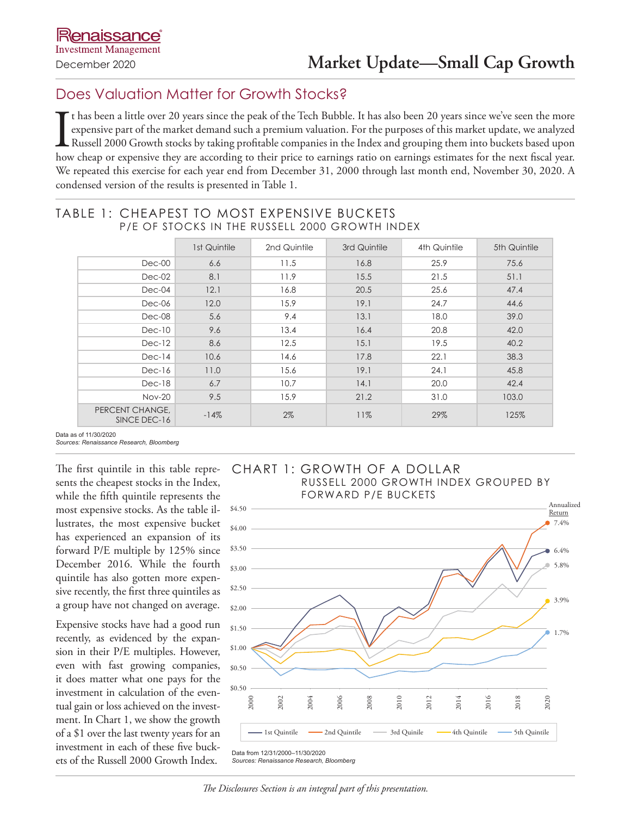# Does Valuation Matter for Growth Stocks?

It has been a little over 20 years since the peak of the Tech Bubble. It has also been 20 years since we've seen the more expensive part of the market demand such a premium valuation. For the purposes of this market update t has been a little over 20 years since the peak of the Tech Bubble. It has also been 20 years since we've seen the more expensive part of the market demand such a premium valuation. For the purposes of this market update, we analyzed Russell 2000 Growth stocks by taking profitable companies in the Index and grouping them into buckets based upon We repeated this exercise for each year end from December 31, 2000 through last month end, November 30, 2020. A condensed version of the results is presented in Table 1.

## TABLE 1: CHEAPEST TO MOST EXPENSIVE BUCKETS P/E OF STOCKS IN THE RUSSELL 2000 GROWTH INDEX

|                                 | 1st Quintile | 2nd Quintile | 3rd Quintile | 4th Quintile | 5th Quintile |
|---------------------------------|--------------|--------------|--------------|--------------|--------------|
| $Dec-00$                        | 6.6          | 11.5         | 16.8         | 25.9         | 75.6         |
| $Dec-02$                        | 8.1          | 11.9         | 15.5         | 21.5         | 51.1         |
| $Dec-04$                        | 12.1         | 16.8         | 20.5         | 25.6         | 47.4         |
| $Dec-06$                        | 12.0         | 15.9         | 19.1         | 24.7         | 44.6         |
| Dec-08                          | 5.6          | 9.4          | 13.1         | 18.0         | 39.0         |
| $Dec-10$                        | 9.6          | 13.4         | 16.4         | 20.8         | 42.0         |
| $Dec-12$                        | 8.6          | 12.5         | 15.1         | 19.5         | 40.2         |
| $Dec-14$                        | 10.6         | 14.6         | 17.8         | 22.1         | 38.3         |
| $Dec-16$                        | 11.0         | 15.6         | 19.1         | 24.1         | 45.8         |
| $Dec-18$                        | 6.7          | 10.7         | 14.1         | 20.0         | 42.4         |
| <b>Nov-20</b>                   | 9.5          | 15.9         | 21.2         | 31.0         | 103.0        |
| PERCENT CHANGE,<br>SINCE DEC-16 | $-14%$       | $2\%$        | 11%          | 29%          | 125%         |

Data as of 11/30/2020 *Sources: Renaissance Research, Bloomberg*

The first quintile in this table represents the cheapest stocks in the Index, while the fifth quintile represents the most expensive stocks. As the table illustrates, the most expensive bucket has experienced an expansion of its forward P/E multiple by 125% since December 2016. While the fourth quintile has also gotten more expensive recently, the first three quintiles as a group have not changed on average.

Expensive stocks have had a good run recently, as evidenced by the expansion in their P/E multiples. However, even with fast growing companies, it does matter what one pays for the investment in calculation of the eventual gain or loss achieved on the investment. In Chart 1, we show the growth of a \$1 over the last twenty years for an investment in each of these five buckets of the Russell 2000 Growth Index. Sources: Renaissance Research,





*Sources: Renaissance Research, Bloomberg*

*The Disclosures Section is an integral part of this presentation.*